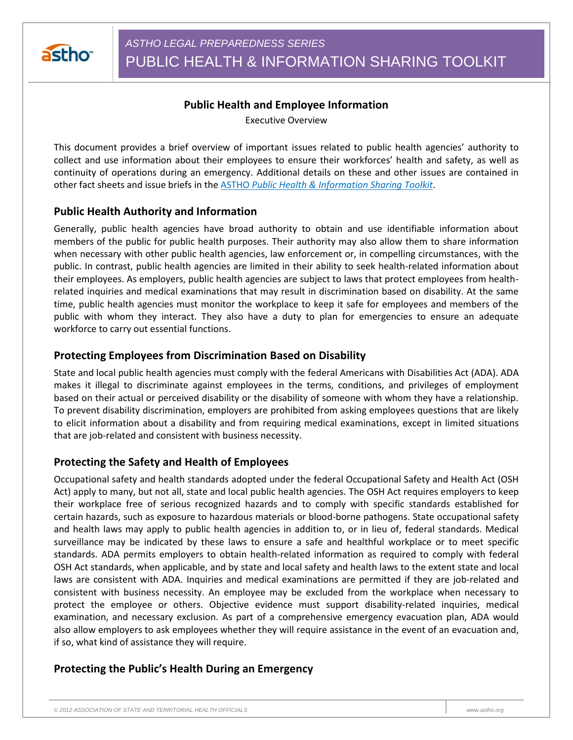

## **Public Health and Employee Information**

Executive Overview

This document provides a brief overview of important issues related to public health agencies' authority to collect and use information about their employees to ensure their workforces' health and safety, as well as continuity of operations during an emergency. Additional details on these and other issues are contained in other fact sheets and issue briefs in the ASTHO *Public Health & Information Sharing Toolkit*.

### **Public Health Authority and Information**

Generally, public health agencies have broad authority to obtain and use identifiable information about members of the public for public health purposes. Their authority may also allow them to share information when necessary with other public health agencies, law enforcement or, in compelling circumstances, with the public. In contrast, public health agencies are limited in their ability to seek health-related information about their employees. As employers, public health agencies are subject to laws that protect employees from healthrelated inquiries and medical examinations that may result in discrimination based on disability. At the same time, public health agencies must monitor the workplace to keep it safe for employees and members of the public with whom they interact. They also have a duty to plan for emergencies to ensure an adequate workforce to carry out essential functions.

### **Protecting Employees from Discrimination Based on Disability**

State and local public health agencies must comply with the federal Americans with Disabilities Act (ADA). ADA makes it illegal to discriminate against employees in the terms, conditions, and privileges of employment based on their actual or perceived disability or the disability of someone with whom they have a relationship. To prevent disability discrimination, employers are prohibited from asking employees questions that are likely to elicit information about a disability and from requiring medical examinations, except in limited situations that are job-related and consistent with business necessity.

# **Protecting the Safety and Health of Employees**

Occupational safety and health standards adopted under the federal Occupational Safety and Health Act (OSH Act) apply to many, but not all, state and local public health agencies. The OSH Act requires employers to keep their workplace free of serious recognized hazards and to comply with specific standards established for certain hazards, such as exposure to hazardous materials or blood-borne pathogens. State occupational safety and health laws may apply to public health agencies in addition to, or in lieu of, federal standards. Medical surveillance may be indicated by these laws to ensure a safe and healthful workplace or to meet specific standards. ADA permits employers to obtain health-related information as required to comply with federal OSH Act standards, when applicable, and by state and local safety and health laws to the extent state and local laws are consistent with ADA. Inquiries and medical examinations are permitted if they are job-related and consistent with business necessity. An employee may be excluded from the workplace when necessary to protect the employee or others. Objective evidence must support disability-related inquiries, medical examination, and necessary exclusion. As part of a comprehensive emergency evacuation plan, ADA would also allow employers to ask employees whether they will require assistance in the event of an evacuation and, if so, what kind of assistance they will require.

# **Protecting the Public's Health During an Emergency**